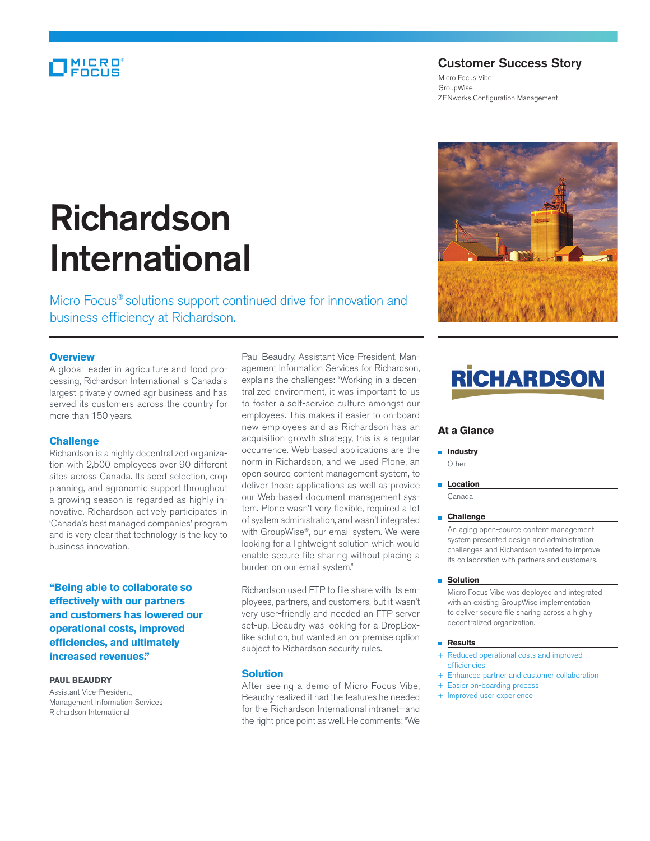### MICRO

### Customer Success Story

Micro Focus Vibe GroupWise ZENworks Configuration Management

# Richardson International

Micro Focus® solutions support continued drive for innovation and business efficiency at Richardson.

### **Overview**

A global leader in agriculture and food processing, Richardson International is Canada's largest privately owned agribusiness and has served its customers across the country for more than 150 years.

### **Challenge**

Richardson is a highly decentralized organization with 2,500 employees over 90 different sites across Canada. Its seed selection, crop planning, and agronomic support throughout a growing season is regarded as highly innovative. Richardson actively participates in 'Canada's best managed companies' program and is very clear that technology is the key to business innovation.

**"Being able to collaborate so effectively with our partners and customers has lowered our operational costs, improved efficiencies, and ultimately increased revenues."**

### **PAUL BEAUDRY**

Assistant Vice-President, Management Information Services Richardson International

Paul Beaudry, Assistant Vice-President, Management Information Services for Richardson, explains the challenges: "Working in a decentralized environment, it was important to us to foster a self-service culture amongst our employees. This makes it easier to on-board new employees and as Richardson has an acquisition growth strategy, this is a regular occurrence. Web-based applications are the norm in Richardson, and we used Plone, an open source content management system, to deliver those applications as well as provide our Web-based document management system. Plone wasn't very flexible, required a lot of system administration, and wasn't integrated with GroupWise®, our email system. We were looking for a lightweight solution which would enable secure file sharing without placing a burden on our email system."

Richardson used FTP to file share with its employees, partners, and customers, but it wasn't very user-friendly and needed an FTP server set-up. Beaudry was looking for a DropBoxlike solution, but wanted an on-premise option subject to Richardson security rules.

### **Solution**

After seeing a demo of Micro Focus Vibe, Beaudry realized it had the features he needed for the Richardson International intranet—and the right price point as well. He comments: "We



## **RİCHARDSO**

### **At a Glance**

**Industry Other** 

**Location** Canada

### **Challenge**

 An aging open-source content management system presented design and administration challenges and Richardson wanted to improve its collaboration with partners and customers.

### **Solution**

 Micro Focus Vibe was deployed and integrated with an existing GroupWise implementation to deliver secure file sharing across a highly decentralized organization.

### **Results**

- + Reduced operational costs and improved efficiencies
- + Enhanced partner and customer collaboration
- + Easier on-boarding process
- + Improved user experience